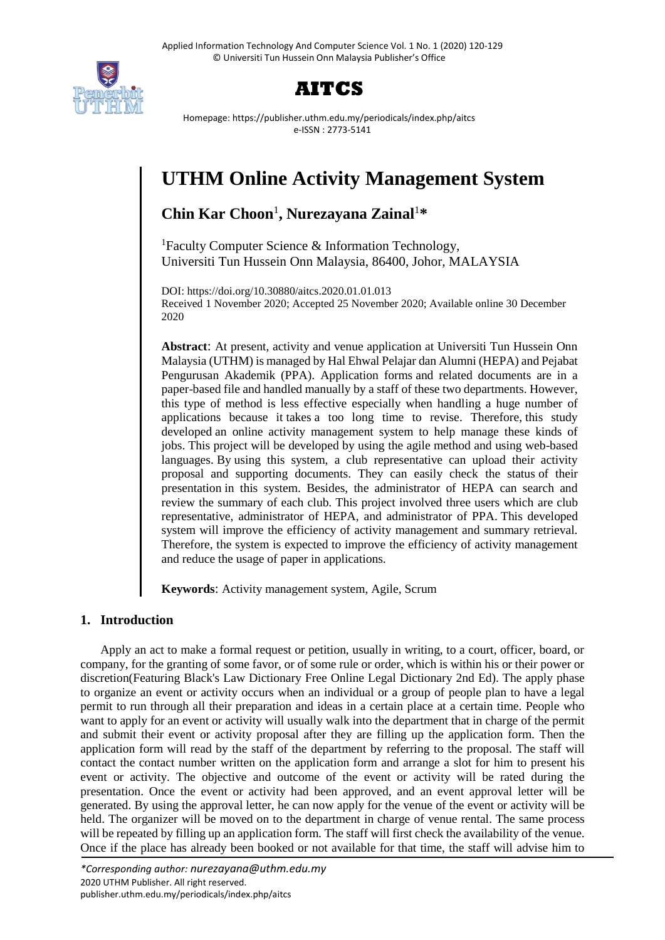



Homepage: https://publisher.uthm.edu.my/periodicals/index.php/aitcs e-ISSN : 2773-5141

# **UTHM Online Activity Management System**

## **Chin Kar Choon**<sup>1</sup> **, Nurezayana Zainal**<sup>1</sup>**\***

<sup>1</sup>Faculty Computer Science  $\&$  Information Technology, Universiti Tun Hussein Onn Malaysia, 86400, Johor, MALAYSIA

DOI: https://doi.org/10.30880/aitcs.2020.01.01.013 Received 1 November 2020; Accepted 25 November 2020; Available online 30 December 2020

**Abstract**: At present, activity and venue application at Universiti Tun Hussein Onn Malaysia (UTHM) is managed by Hal Ehwal Pelajar dan Alumni (HEPA) and Pejabat Pengurusan Akademik (PPA). Application forms and related documents are in a paper-based file and handled manually by a staff of these two departments. However, this type of method is less effective especially when handling a huge number of applications because it takes a too long time to revise. Therefore, this study developed an online activity management system to help manage these kinds of jobs. This project will be developed by using the agile method and using web-based languages. By using this system, a club representative can upload their activity proposal and supporting documents. They can easily check the status of their presentation in this system. Besides, the administrator of HEPA can search and review the summary of each club. This project involved three users which are club representative, administrator of HEPA, and administrator of PPA. This developed system will improve the efficiency of activity management and summary retrieval. Therefore, the system is expected to improve the efficiency of activity management and reduce the usage of paper in applications.

**Keywords**: Activity management system, Agile, Scrum

## **1. Introduction**

Apply an act to make a formal request or petition, usually in writing, to a court, officer, board, or company, for the granting of some favor, or of some rule or order, which is within his or their power or discretion(Featuring Black's Law Dictionary Free Online Legal Dictionary 2nd Ed). The apply phase to organize an event or activity occurs when an individual or a group of people plan to have a legal permit to run through all their preparation and ideas in a certain place at a certain time. People who want to apply for an event or activity will usually walk into the department that in charge of the permit and submit their event or activity proposal after they are filling up the application form. Then the application form will read by the staff of the department by referring to the proposal. The staff will contact the contact number written on the application form and arrange a slot for him to present his event or activity. The objective and outcome of the event or activity will be rated during the presentation. Once the event or activity had been approved, and an event approval letter will be generated. By using the approval letter, he can now apply for the venue of the event or activity will be held. The organizer will be moved on to the department in charge of venue rental. The same process will be repeated by filling up an application form. The staff will first check the availability of the venue. Once if the place has already been booked or not available for that time, the staff will advise him to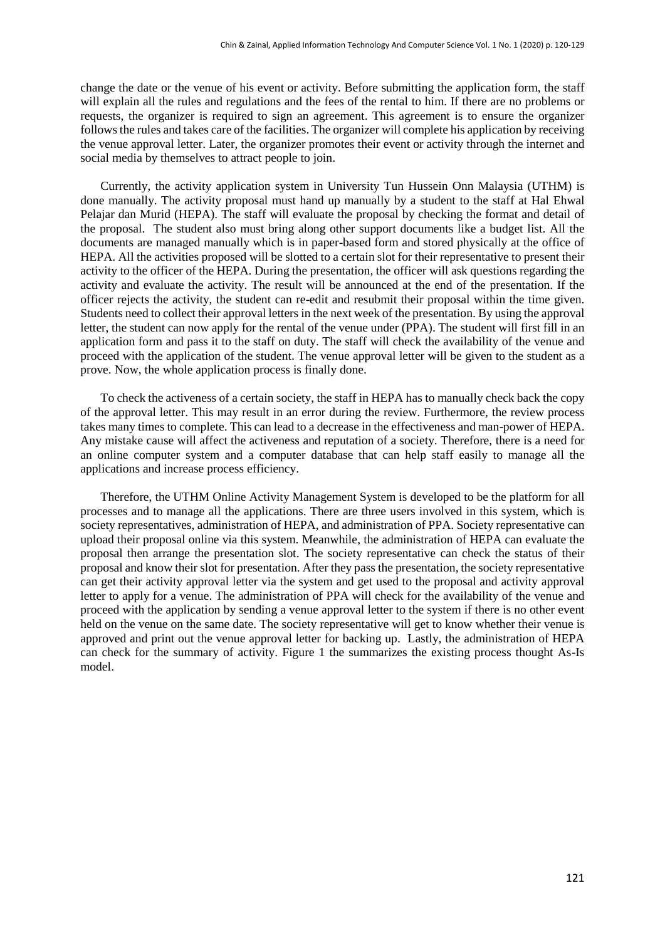change the date or the venue of his event or activity. Before submitting the application form, the staff will explain all the rules and regulations and the fees of the rental to him. If there are no problems or requests, the organizer is required to sign an agreement. This agreement is to ensure the organizer followsthe rules and takes care of the facilities. The organizer will complete his application by receiving the venue approval letter. Later, the organizer promotes their event or activity through the internet and social media by themselves to attract people to join.

Currently, the activity application system in University Tun Hussein Onn Malaysia (UTHM) is done manually. The activity proposal must hand up manually by a student to the staff at Hal Ehwal Pelajar dan Murid (HEPA). The staff will evaluate the proposal by checking the format and detail of the proposal. The student also must bring along other support documents like a budget list. All the documents are managed manually which is in paper-based form and stored physically at the office of HEPA. All the activities proposed will be slotted to a certain slot for their representative to present their activity to the officer of the HEPA. During the presentation, the officer will ask questions regarding the activity and evaluate the activity. The result will be announced at the end of the presentation. If the officer rejects the activity, the student can re-edit and resubmit their proposal within the time given. Students need to collect their approval letters in the next week of the presentation. By using the approval letter, the student can now apply for the rental of the venue under (PPA). The student will first fill in an application form and pass it to the staff on duty. The staff will check the availability of the venue and proceed with the application of the student. The venue approval letter will be given to the student as a prove. Now, the whole application process is finally done.

To check the activeness of a certain society, the staff in HEPA has to manually check back the copy of the approval letter. This may result in an error during the review. Furthermore, the review process takes many times to complete. This can lead to a decrease in the effectiveness and man-power of HEPA. Any mistake cause will affect the activeness and reputation of a society. Therefore, there is a need for an online computer system and a computer database that can help staff easily to manage all the applications and increase process efficiency.

Therefore, the UTHM Online Activity Management System is developed to be the platform for all processes and to manage all the applications. There are three users involved in this system, which is society representatives, administration of HEPA, and administration of PPA. Society representative can upload their proposal online via this system. Meanwhile, the administration of HEPA can evaluate the proposal then arrange the presentation slot. The society representative can check the status of their proposal and know their slot for presentation. After they pass the presentation, the society representative can get their activity approval letter via the system and get used to the proposal and activity approval letter to apply for a venue. The administration of PPA will check for the availability of the venue and proceed with the application by sending a venue approval letter to the system if there is no other event held on the venue on the same date. The society representative will get to know whether their venue is approved and print out the venue approval letter for backing up. Lastly, the administration of HEPA can check for the summary of activity. Figure 1 the summarizes the existing process thought As-Is model.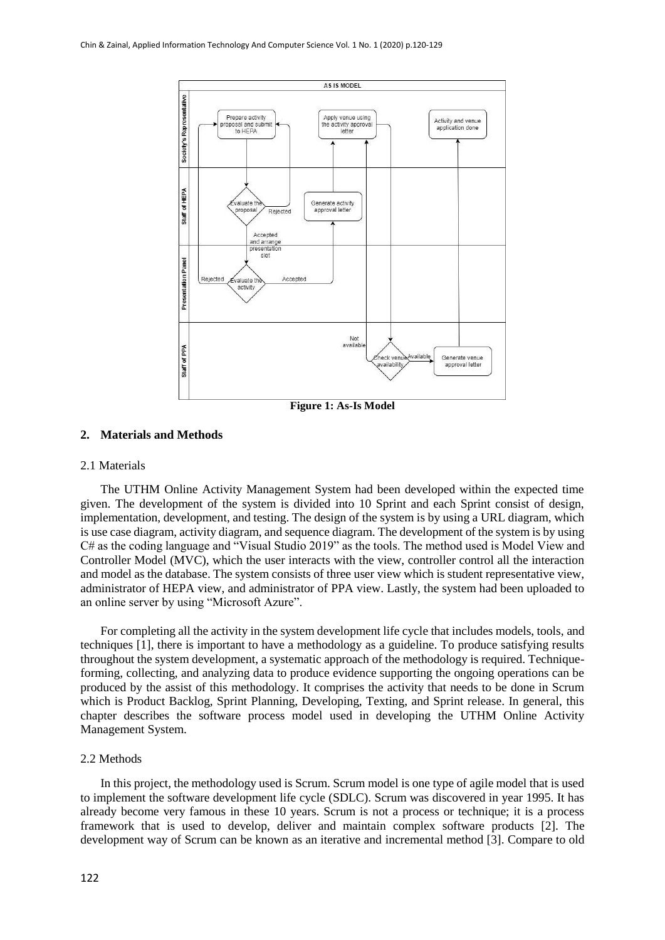

#### **2. Materials and Methods**

#### 2.1 Materials

The UTHM Online Activity Management System had been developed within the expected time given. The development of the system is divided into 10 Sprint and each Sprint consist of design, implementation, development, and testing. The design of the system is by using a URL diagram, which is use case diagram, activity diagram, and sequence diagram. The development of the system is by using C# as the coding language and "Visual Studio 2019" as the tools. The method used is Model View and Controller Model (MVC), which the user interacts with the view, controller control all the interaction and model as the database. The system consists of three user view which is student representative view, administrator of HEPA view, and administrator of PPA view. Lastly, the system had been uploaded to an online server by using "Microsoft Azure".

For completing all the activity in the system development life cycle that includes models, tools, and techniques [1], there is important to have a methodology as a guideline. To produce satisfying results throughout the system development, a systematic approach of the methodology is required. Techniqueforming, collecting, and analyzing data to produce evidence supporting the ongoing operations can be produced by the assist of this methodology. It comprises the activity that needs to be done in Scrum which is Product Backlog, Sprint Planning, Developing, Texting, and Sprint release. In general, this chapter describes the software process model used in developing the UTHM Online Activity Management System.

#### 2.2 Methods

In this project, the methodology used is Scrum. Scrum model is one type of agile model that is used to implement the software development life cycle (SDLC). Scrum was discovered in year 1995. It has already become very famous in these 10 years. Scrum is not a process or technique; it is a process framework that is used to develop, deliver and maintain complex software products [2]. The development way of Scrum can be known as an iterative and incremental method [3]. Compare to old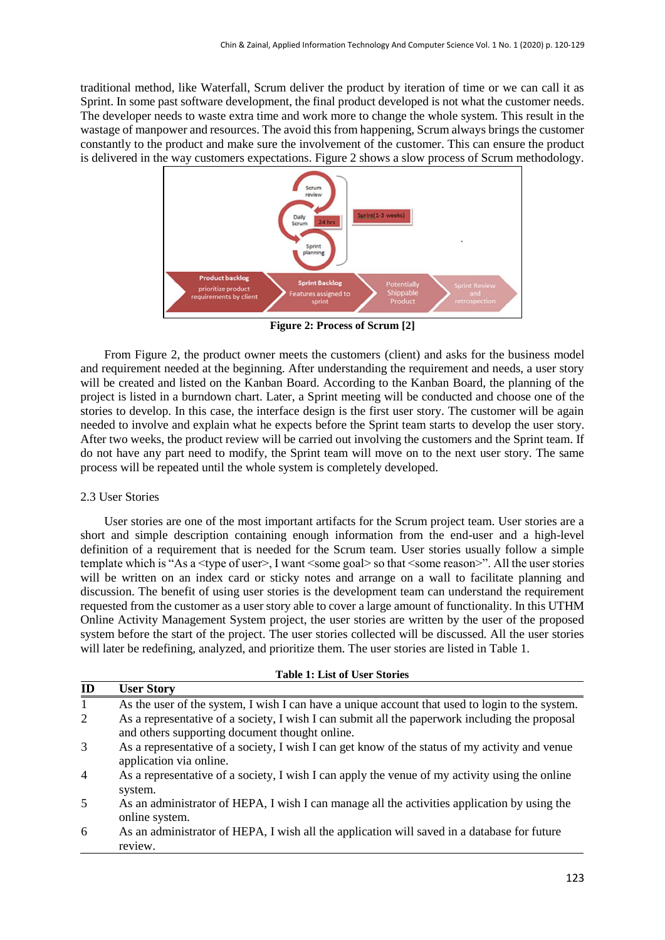traditional method, like Waterfall, Scrum deliver the product by iteration of time or we can call it as Sprint. In some past software development, the final product developed is not what the customer needs. The developer needs to waste extra time and work more to change the whole system. This result in the wastage of manpower and resources. The avoid this from happening, Scrum always brings the customer constantly to the product and make sure the involvement of the customer. This can ensure the product is delivered in the way customers expectations. Figure 2 shows a slow process of Scrum methodology.



**Figure 2: Process of Scrum [2]**

From Figure 2, the product owner meets the customers (client) and asks for the business model and requirement needed at the beginning. After understanding the requirement and needs, a user story will be created and listed on the Kanban Board. According to the Kanban Board, the planning of the project is listed in a burndown chart. Later, a Sprint meeting will be conducted and choose one of the stories to develop. In this case, the interface design is the first user story. The customer will be again needed to involve and explain what he expects before the Sprint team starts to develop the user story. After two weeks, the product review will be carried out involving the customers and the Sprint team. If do not have any part need to modify, the Sprint team will move on to the next user story. The same process will be repeated until the whole system is completely developed.

### 2.3 User Stories

User stories are one of the most important artifacts for the Scrum project team. User stories are a short and simple description containing enough information from the end-user and a high-level definition of a requirement that is needed for the Scrum team. User stories usually follow a simple template which is "As a <type of user>, I want <some goal> so that <some reason>". All the user stories will be written on an index card or sticky notes and arrange on a wall to facilitate planning and discussion. The benefit of using user stories is the development team can understand the requirement requested from the customer as a user story able to cover a large amount of functionality. In this UTHM Online Activity Management System project, the user stories are written by the user of the proposed system before the start of the project. The user stories collected will be discussed. All the user stories will later be redefining, analyzed, and prioritize them. The user stories are listed in Table 1.

| <b>Table 1: List of User Stories</b> |  |  |  |  |  |  |
|--------------------------------------|--|--|--|--|--|--|
|--------------------------------------|--|--|--|--|--|--|

| ID             | <b>User Story</b>                                                                                                                                |
|----------------|--------------------------------------------------------------------------------------------------------------------------------------------------|
| 1              | As the user of the system, I wish I can have a unique account that used to login to the system.                                                  |
| 2              | As a representative of a society, I wish I can submit all the paperwork including the proposal<br>and others supporting document thought online. |
| 3              | As a representative of a society, I wish I can get know of the status of my activity and venue<br>application via online.                        |
| $\overline{4}$ | As a representative of a society, I wish I can apply the venue of my activity using the online<br>system.                                        |
| 5              | As an administrator of HEPA, I wish I can manage all the activities application by using the<br>online system.                                   |
| 6              | As an administrator of HEPA, I wish all the application will saved in a database for future<br>review.                                           |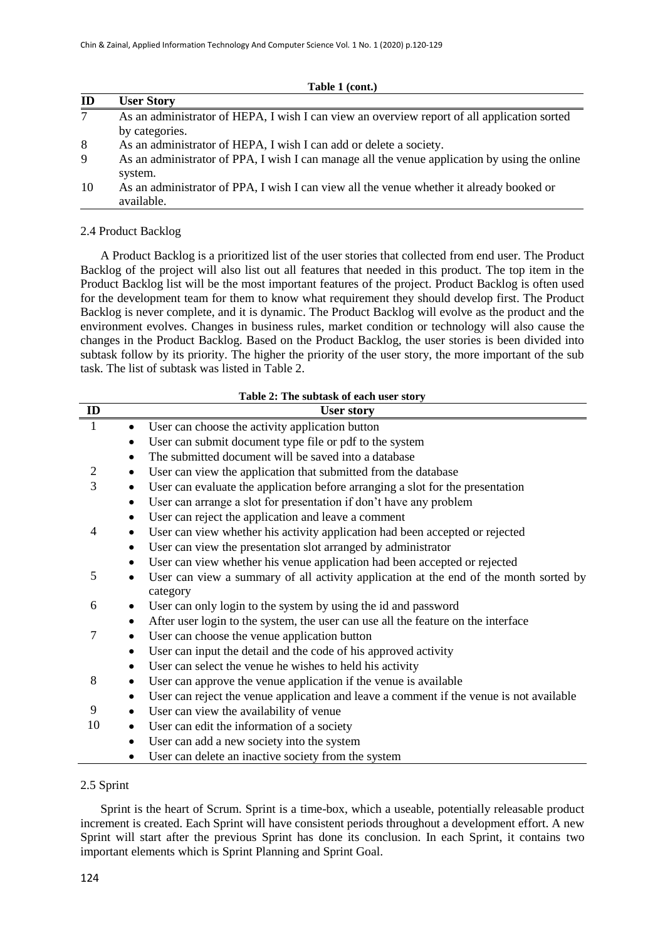| ID | <b>User Story</b>                                                                                        |
|----|----------------------------------------------------------------------------------------------------------|
| 7  | As an administrator of HEPA, I wish I can view an overview report of all application sorted              |
|    | by categories.                                                                                           |
| 8  | As an administrator of HEPA, I wish I can add or delete a society.                                       |
| 9  | As an administrator of PPA, I wish I can manage all the venue application by using the online<br>system. |
| 10 | As an administrator of PPA, I wish I can view all the venue whether it already booked or<br>available.   |

**Table 1 (cont.)**

#### 2.4 Product Backlog

A Product Backlog is a prioritized list of the user stories that collected from end user. The Product Backlog of the project will also list out all features that needed in this product. The top item in the Product Backlog list will be the most important features of the project. Product Backlog is often used for the development team for them to know what requirement they should develop first. The Product Backlog is never complete, and it is dynamic. The Product Backlog will evolve as the product and the environment evolves. Changes in business rules, market condition or technology will also cause the changes in the Product Backlog. Based on the Product Backlog, the user stories is been divided into subtask follow by its priority. The higher the priority of the user story, the more important of the sub task. The list of subtask was listed in Table 2.

|              | <b>Table 2: The subtask of each user story</b>                                                         |
|--------------|--------------------------------------------------------------------------------------------------------|
| ID           | <b>User story</b>                                                                                      |
| $\mathbf{1}$ | User can choose the activity application button<br>٠                                                   |
|              | User can submit document type file or pdf to the system<br>٠                                           |
|              | The submitted document will be saved into a database<br>٠                                              |
| 2            | User can view the application that submitted from the database<br>٠                                    |
| 3            | User can evaluate the application before arranging a slot for the presentation<br>$\bullet$            |
|              | User can arrange a slot for presentation if don't have any problem<br>$\bullet$                        |
|              | User can reject the application and leave a comment<br>$\bullet$                                       |
| 4            | User can view whether his activity application had been accepted or rejected<br>$\bullet$              |
|              | User can view the presentation slot arranged by administrator<br>$\bullet$                             |
|              | User can view whether his venue application had been accepted or rejected<br>٠                         |
| 5            | User can view a summary of all activity application at the end of the month sorted by<br>٠<br>category |
| 6            | User can only login to the system by using the id and password<br>$\bullet$                            |
|              | After user login to the system, the user can use all the feature on the interface<br>٠                 |
| 7            | User can choose the venue application button<br>$\bullet$                                              |
|              | User can input the detail and the code of his approved activity                                        |
|              | User can select the venue he wishes to held his activity<br>٠                                          |
| 8            | User can approve the venue application if the venue is available                                       |
|              | User can reject the venue application and leave a comment if the venue is not available<br>$\bullet$   |
| 9            | User can view the availability of venue<br>٠                                                           |
| 10           | User can edit the information of a society<br>$\bullet$                                                |
|              | User can add a new society into the system<br>$\bullet$                                                |
|              | User can delete an inactive society from the system                                                    |

#### **Table 2: The subtask of each user story**

#### 2.5 Sprint

Sprint is the heart of Scrum. Sprint is a time-box, which a useable, potentially releasable product increment is created. Each Sprint will have consistent periods throughout a development effort. A new Sprint will start after the previous Sprint has done its conclusion. In each Sprint, it contains two important elements which is Sprint Planning and Sprint Goal.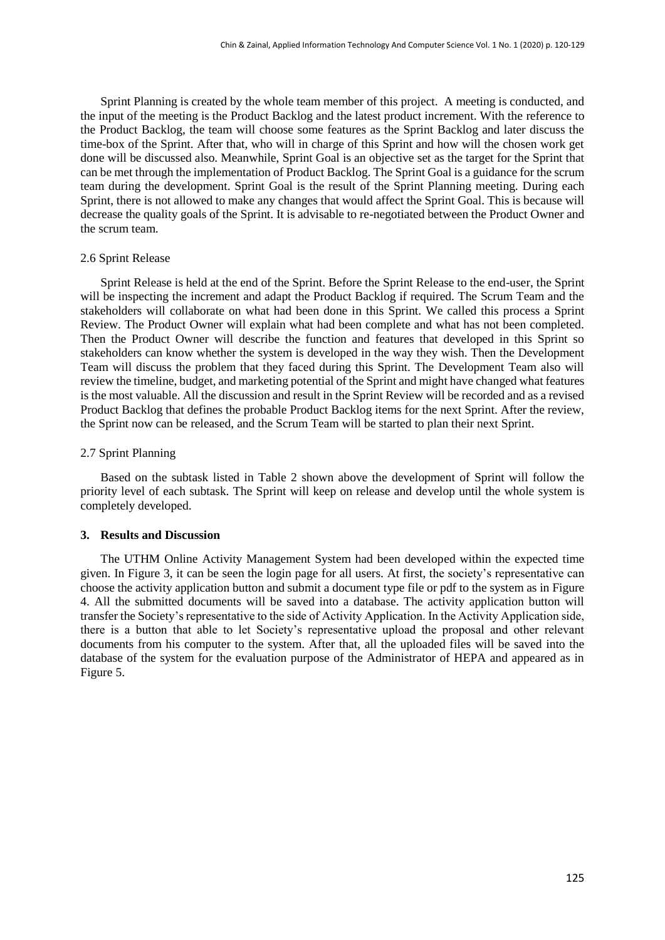Sprint Planning is created by the whole team member of this project. A meeting is conducted, and the input of the meeting is the Product Backlog and the latest product increment. With the reference to the Product Backlog, the team will choose some features as the Sprint Backlog and later discuss the time-box of the Sprint. After that, who will in charge of this Sprint and how will the chosen work get done will be discussed also. Meanwhile, Sprint Goal is an objective set as the target for the Sprint that can be met through the implementation of Product Backlog. The Sprint Goal is a guidance for the scrum team during the development. Sprint Goal is the result of the Sprint Planning meeting. During each Sprint, there is not allowed to make any changes that would affect the Sprint Goal. This is because will decrease the quality goals of the Sprint. It is advisable to re-negotiated between the Product Owner and the scrum team.

#### 2.6 Sprint Release

Sprint Release is held at the end of the Sprint. Before the Sprint Release to the end-user, the Sprint will be inspecting the increment and adapt the Product Backlog if required. The Scrum Team and the stakeholders will collaborate on what had been done in this Sprint. We called this process a Sprint Review. The Product Owner will explain what had been complete and what has not been completed. Then the Product Owner will describe the function and features that developed in this Sprint so stakeholders can know whether the system is developed in the way they wish. Then the Development Team will discuss the problem that they faced during this Sprint. The Development Team also will review the timeline, budget, and marketing potential of the Sprint and might have changed what features is the most valuable. All the discussion and result in the Sprint Review will be recorded and as a revised Product Backlog that defines the probable Product Backlog items for the next Sprint. After the review, the Sprint now can be released, and the Scrum Team will be started to plan their next Sprint.

#### 2.7 Sprint Planning

Based on the subtask listed in Table 2 shown above the development of Sprint will follow the priority level of each subtask. The Sprint will keep on release and develop until the whole system is completely developed.

#### **3. Results and Discussion**

The UTHM Online Activity Management System had been developed within the expected time given. In Figure 3, it can be seen the login page for all users. At first, the society's representative can choose the activity application button and submit a document type file or pdf to the system as in Figure 4. All the submitted documents will be saved into a database. The activity application button will transfer the Society's representative to the side of Activity Application. In the Activity Application side, there is a button that able to let Society's representative upload the proposal and other relevant documents from his computer to the system. After that, all the uploaded files will be saved into the database of the system for the evaluation purpose of the Administrator of HEPA and appeared as in Figure 5.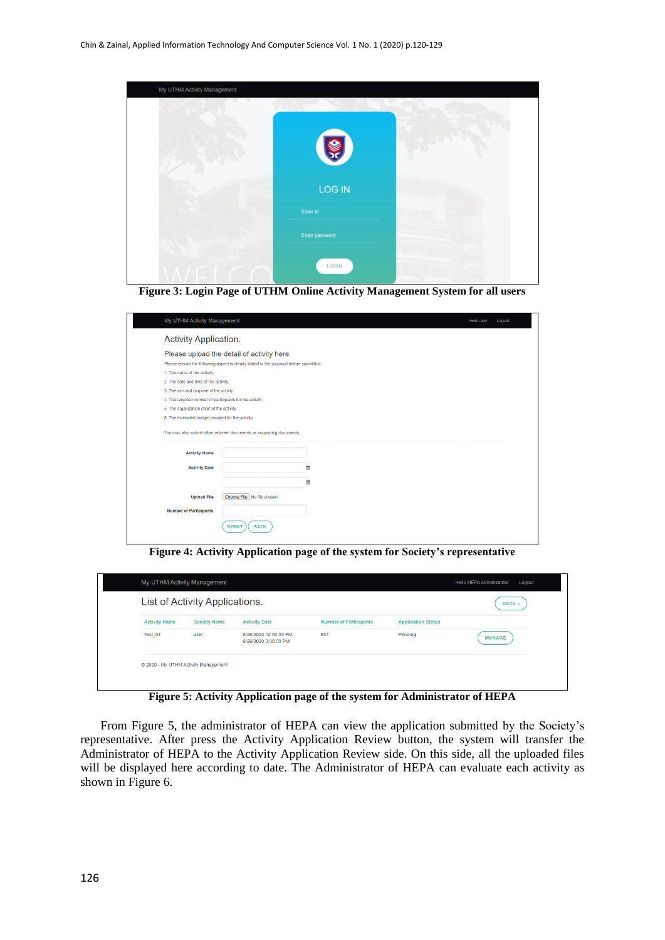

**Figure 3: Login Page of UTHM Online Activity Management System for all users**

| My UTHM Activity Management                              |                                                                                         |  |
|----------------------------------------------------------|-----------------------------------------------------------------------------------------|--|
| Activity Application.                                    |                                                                                         |  |
|                                                          | Please upload the detail of activity here.                                              |  |
|                                                          | Please ensure the following aspect is clearly stated in the proposal before submittion: |  |
| 1. The name of the activity.                             |                                                                                         |  |
| 2. The date and time of the activity.                    |                                                                                         |  |
| 3. The aim and purpose of the activty.                   |                                                                                         |  |
| 4. The targeted number of participants for the activity. |                                                                                         |  |
| 5. The organization chart of the activity.               |                                                                                         |  |
| 6. The estimated budget required for the activity.       |                                                                                         |  |
|                                                          |                                                                                         |  |
| <b>Activity Name</b>                                     | You may also submit other relavent documents as supporting documents.                   |  |
| <b>Activity Date</b>                                     | 兽                                                                                       |  |
|                                                          |                                                                                         |  |
|                                                          | 巤                                                                                       |  |
| <b>Upload File</b>                                       | Choose File   No file chosen                                                            |  |
|                                                          |                                                                                         |  |
| <b>Number of Participants</b>                            |                                                                                         |  |

**Figure 4: Activity Application page of the system for Society's representative**

| List of Activity Applications. |                     |                                                 |                               |                           | <b>BACK</b> « |
|--------------------------------|---------------------|-------------------------------------------------|-------------------------------|---------------------------|---------------|
| <b>Activity Name</b>           | <b>Society Name</b> | <b>Activity Date</b>                            | <b>Number of Participants</b> | <b>Application Status</b> |               |
| Test_01                        | user                | 6/26/2020 12:00:00 PM -<br>6/26/2020 2:00:00 PM | 857                           | Pending                   | <b>MANAGE</b> |

**Figure 5: Activity Application page of the system for Administrator of HEPA**

From Figure 5, the administrator of HEPA can view the application submitted by the Society's representative. After press the Activity Application Review button, the system will transfer the Administrator of HEPA to the Activity Application Review side. On this side, all the uploaded files will be displayed here according to date. The Administrator of HEPA can evaluate each activity as shown in Figure 6.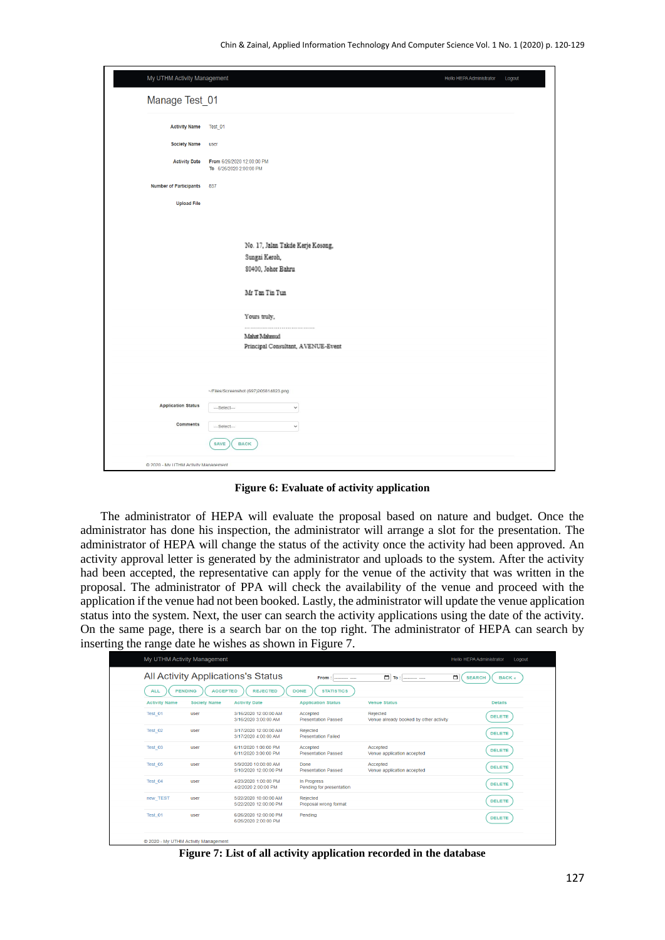| My UTHM Activity Management          | Hello HEPA Administrator                              | Logout |
|--------------------------------------|-------------------------------------------------------|--------|
| Manage Test_01                       |                                                       |        |
| <b>Activity Name</b>                 | Test_01                                               |        |
| <b>Society Name</b>                  | user                                                  |        |
| <b>Activity Date</b>                 | From 6/26/2020 12:00:00 PM<br>To 6/26/2020 2:00:00 PM |        |
| <b>Number of Participants</b>        | 857                                                   |        |
| <b>Upload File</b>                   |                                                       |        |
|                                      |                                                       |        |
|                                      | No. 17, Jalan Takde Kerje Kosong,                     |        |
|                                      | Sungai Keroh,                                         |        |
|                                      | 80400, Johor Bahru                                    |        |
|                                      | Mr Tan Tin Tun                                        |        |
|                                      | Yours truly,                                          |        |
|                                      | Mahat Mahmud                                          |        |
|                                      | Principal Consultant, AVENUE-Event                    |        |
|                                      | ~/Files/Screenshot (697)205814823.png                 |        |
| <b>Application Status</b>            | ---Select---<br>$\check{~}$                           |        |
| Comments                             | ---Select---<br>$\checkmark$                          |        |
|                                      | SAVE<br><b>BACK</b>                                   |        |
| @ 2020 - Mv UTHM Activity Management |                                                       |        |

**Figure 6: Evaluate of activity application**

The administrator of HEPA will evaluate the proposal based on nature and budget. Once the administrator has done his inspection, the administrator will arrange a slot for the presentation. The administrator of HEPA will change the status of the activity once the activity had been approved. An activity approval letter is generated by the administrator and uploads to the system. After the activity had been accepted, the representative can apply for the venue of the activity that was written in the proposal. The administrator of PPA will check the availability of the venue and proceed with the application if the venue had not been booked. Lastly, the administrator will update the venue application status into the system. Next, the user can search the activity applications using the date of the activity. On the same page, there is a search bar on the top right. The administrator of HEPA can search by inserting the range date he wishes as shown in Figure 7.

|                      |                                   | All Activity Applications's Status             | From<br>------- ----                    | $\Box$<br>To:<br>------------                      | □<br><b>SEARCH</b><br><b>BACK «</b> |
|----------------------|-----------------------------------|------------------------------------------------|-----------------------------------------|----------------------------------------------------|-------------------------------------|
| <b>ALL</b>           | <b>PENDING</b><br><b>ACCEPTED</b> | <b>REJECTED</b>                                | <b>DONE</b><br><b>STATISTICS</b>        |                                                    |                                     |
| <b>Activity Name</b> | <b>Society Name</b>               | <b>Activity Date</b>                           | <b>Application Status</b>               | <b>Venue Status</b>                                | <b>Details</b>                      |
| Test 01              | user                              | 3/16/2020 12:00:00 AM<br>3/16/2020 3:00:00 AM  | Accepted<br><b>Presentation Passed</b>  | Rejected<br>Venue already booked by other activity | <b>DELETE</b>                       |
| Test 02              | user                              | 3/17/2020 12:00:00 AM<br>3/17/2020 4:00:00 AM  | Rejected<br><b>Presentation Failed</b>  |                                                    | <b>DELETE</b>                       |
| Test 03              | user                              | 6/11/2020 1:00:00 PM<br>6/11/2020 3:00:00 PM   | Accepted<br><b>Presentation Passed</b>  | Accepted<br>Venue application accepted             | <b>DELETE</b>                       |
| Test 05              | user                              | 5/9/2020 10:00:00 AM<br>5/10/2020 12:00:00 PM  | Done<br><b>Presentation Passed</b>      | Accepted<br>Venue application accepted             | <b>DELETE</b>                       |
| Test 04              | user                              | 4/23/2020 1:00:00 PM<br>4/2/2020 2:00:00 PM    | In Progress<br>Pending for presentation |                                                    | <b>DELETE</b>                       |
| new TEST             | user                              | 5/22/2020 10:00:00 AM<br>5/22/2020 12:00:00 PM | Rejected<br>Proposal wrong format       |                                                    | <b>DELETE</b>                       |
| Test 01              | user                              | 6/26/2020 12:00:00 PM<br>6/26/2020 2:00:00 PM  | Pending                                 |                                                    | <b>DELETE</b>                       |

**Figure 7: List of all activity application recorded in the database**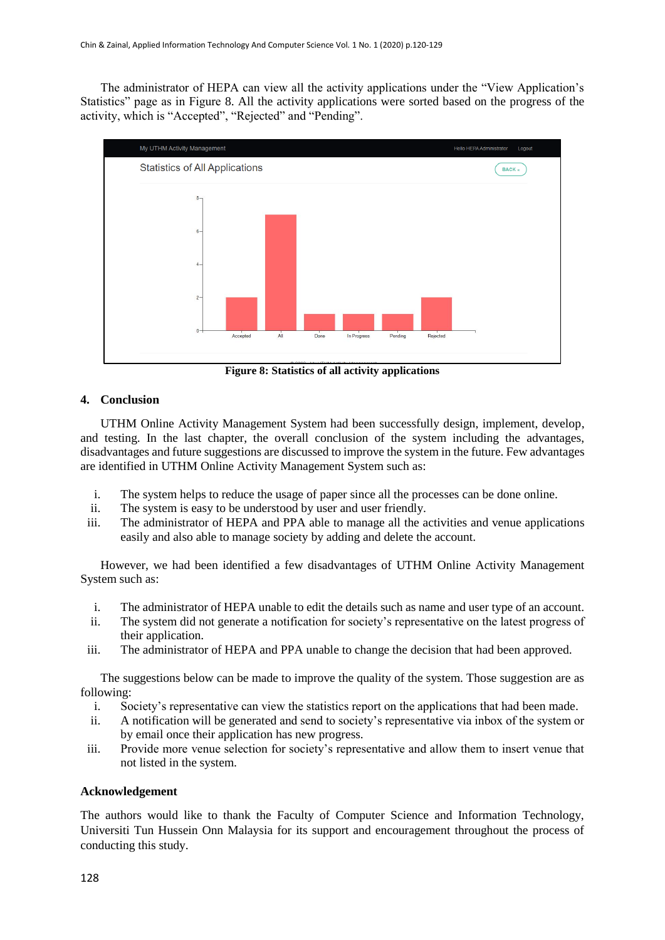The administrator of HEPA can view all the activity applications under the "View Application's Statistics" page as in Figure 8. All the activity applications were sorted based on the progress of the activity, which is "Accepted", "Rejected" and "Pending".



**Figure 8: Statistics of all activity applications**

## **4. Conclusion**

UTHM Online Activity Management System had been successfully design, implement, develop, and testing. In the last chapter, the overall conclusion of the system including the advantages, disadvantages and future suggestions are discussed to improve the system in the future. Few advantages are identified in UTHM Online Activity Management System such as:

- i. The system helps to reduce the usage of paper since all the processes can be done online.
- ii. The system is easy to be understood by user and user friendly.
- iii. The administrator of HEPA and PPA able to manage all the activities and venue applications easily and also able to manage society by adding and delete the account.

However, we had been identified a few disadvantages of UTHM Online Activity Management System such as:

- i. The administrator of HEPA unable to edit the details such as name and user type of an account.
- ii. The system did not generate a notification for society's representative on the latest progress of their application.
- iii. The administrator of HEPA and PPA unable to change the decision that had been approved.

The suggestions below can be made to improve the quality of the system. Those suggestion are as following:

- i. Society's representative can view the statistics report on the applications that had been made.
- ii. A notification will be generated and send to society's representative via inbox of the system or by email once their application has new progress.
- iii. Provide more venue selection for society's representative and allow them to insert venue that not listed in the system.

## **Acknowledgement**

The authors would like to thank the Faculty of Computer Science and Information Technology, Universiti Tun Hussein Onn Malaysia for its support and encouragement throughout the process of conducting this study.